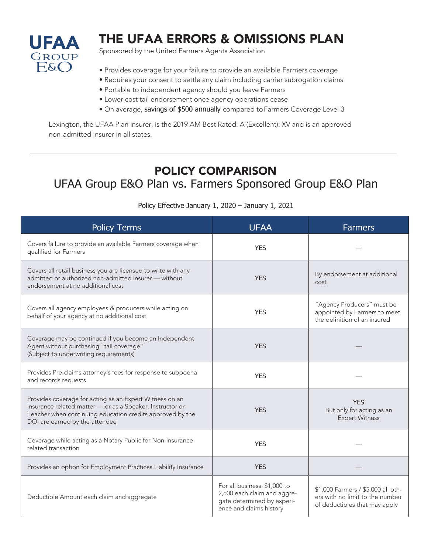

## THE UFAA ERRORS & OMISSIONS PLAN

Sponsored by the United Farmers Agents Association

- Provides coverage for your failure to provide an available Farmers coverage
- Requires your consent to settle any claim including carrier subrogation claims
- Portable to independent agency should you leave Farmers
- Lower cost tail endorsement once agency operations cease
- On average, savings of \$500 annually compared to Farmers Coverage Level 3

Lexington, the UFAA Plan insurer, is the 2019 AM Best Rated: A (Excellent): XV and is an approved non-admitted insurer in all states.

## POLICY COMPARISON

#### UFAA Group E&O Plan vs. Farmers Sponsored Group E&O Plan

| <b>Policy Terms</b>                                                                                                                                                                                                 | <b>UFAA</b>                                                                                                          | <b>Farmers</b>                                                                                         |
|---------------------------------------------------------------------------------------------------------------------------------------------------------------------------------------------------------------------|----------------------------------------------------------------------------------------------------------------------|--------------------------------------------------------------------------------------------------------|
| Covers failure to provide an available Farmers coverage when<br>qualified for Farmers                                                                                                                               | <b>YES</b>                                                                                                           |                                                                                                        |
| Covers all retail business you are licensed to write with any<br>admitted or authorized non-admitted insurer - without<br>endorsement at no additional cost                                                         | <b>YES</b>                                                                                                           | By endorsement at additional<br>cost                                                                   |
| Covers all agency employees & producers while acting on<br>behalf of your agency at no additional cost                                                                                                              | <b>YES</b>                                                                                                           | "Agency Producers" must be<br>appointed by Farmers to meet<br>the definition of an insured             |
| Coverage may be continued if you become an Independent<br>Agent without purchasing "tail coverage"<br>(Subject to underwriting requirements)                                                                        | <b>YES</b>                                                                                                           |                                                                                                        |
| Provides Pre-claims attorney's fees for response to subpoena<br>and records requests                                                                                                                                | <b>YES</b>                                                                                                           |                                                                                                        |
| Provides coverage for acting as an Expert Witness on an<br>insurance related matter - or as a Speaker, Instructor or<br>Teacher when continuing education credits approved by the<br>DOI are earned by the attendee | <b>YES</b>                                                                                                           | <b>YES</b><br>But only for acting as an<br><b>Expert Witness</b>                                       |
| Coverage while acting as a Notary Public for Non-insurance<br>related transaction                                                                                                                                   | <b>YFS</b>                                                                                                           |                                                                                                        |
| Provides an option for Employment Practices Liability Insurance                                                                                                                                                     | <b>YES</b>                                                                                                           |                                                                                                        |
| Deductible Amount each claim and aggregate                                                                                                                                                                          | For all business: \$1,000 to<br>2,500 each claim and aggre-<br>gate determined by experi-<br>ence and claims history | \$1,000 Farmers / \$5,000 all oth-<br>ers with no limit to the number<br>of deductibles that may apply |

Policy Effective January 1, 2020 – January 1, 2021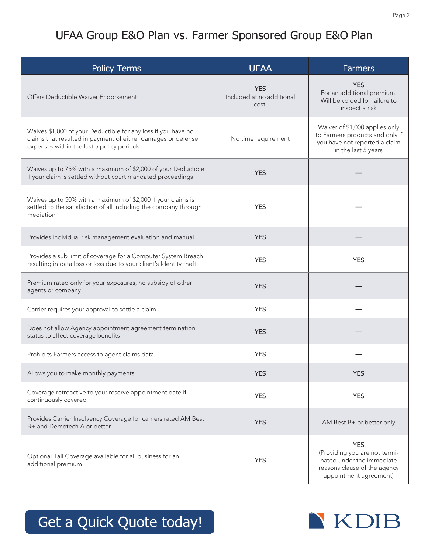### UFAA Group E&O Plan vs. Farmer Sponsored Group E&O Plan

| <b>Policy Terms</b>                                                                                                                                                        | <b>UFAA</b>                                      | <b>Farmers</b>                                                                                                                     |
|----------------------------------------------------------------------------------------------------------------------------------------------------------------------------|--------------------------------------------------|------------------------------------------------------------------------------------------------------------------------------------|
| Offers Deductible Waiver Endorsement                                                                                                                                       | <b>YES</b><br>Included at no additional<br>cost. | <b>YES</b><br>For an additional premium.<br>Will be voided for failure to<br>inspect a risk                                        |
| Waives \$1,000 of your Deductible for any loss if you have no<br>claims that resulted in payment of either damages or defense<br>expenses within the last 5 policy periods | No time requirement                              | Waiver of \$1,000 applies only<br>to Farmers products and only if<br>you have not reported a claim<br>in the last 5 years          |
| Waives up to 75% with a maximum of \$2,000 of your Deductible<br>if your claim is settled without court mandated proceedings                                               | <b>YES</b>                                       |                                                                                                                                    |
| Waives up to 50% with a maximum of \$2,000 if your claims is<br>settled to the satisfaction of all including the company through<br>mediation                              | <b>YES</b>                                       |                                                                                                                                    |
| Provides individual risk management evaluation and manual                                                                                                                  | <b>YES</b>                                       |                                                                                                                                    |
| Provides a sub limit of coverage for a Computer System Breach<br>resulting in data loss or loss due to your client's Identity theft                                        | <b>YES</b>                                       | <b>YES</b>                                                                                                                         |
| Premium rated only for your exposures, no subsidy of other<br>agents or company                                                                                            | <b>YES</b>                                       |                                                                                                                                    |
| Carrier requires your approval to settle a claim                                                                                                                           | <b>YES</b>                                       |                                                                                                                                    |
| Does not allow Agency appointment agreement termination<br>status to affect coverage benefits                                                                              | <b>YES</b>                                       |                                                                                                                                    |
| Prohibits Farmers access to agent claims data                                                                                                                              | <b>YES</b>                                       |                                                                                                                                    |
| Allows you to make monthly payments                                                                                                                                        | <b>YES</b>                                       | <b>YES</b>                                                                                                                         |
| Coverage retroactive to your reserve appointment date if<br>continuously covered                                                                                           | <b>YES</b>                                       | <b>YES</b>                                                                                                                         |
| Provides Carrier Insolvency Coverage for carriers rated AM Best<br>B+ and Demotech A or better                                                                             | <b>YES</b>                                       | AM Best B+ or better only                                                                                                          |
| Optional Tail Coverage available for all business for an<br>additional premium                                                                                             | <b>YES</b>                                       | <b>YES</b><br>(Providing you are not termi-<br>nated under the immediate<br>reasons clause of the agency<br>appointment agreement) |

# Get a Quick Quote today!